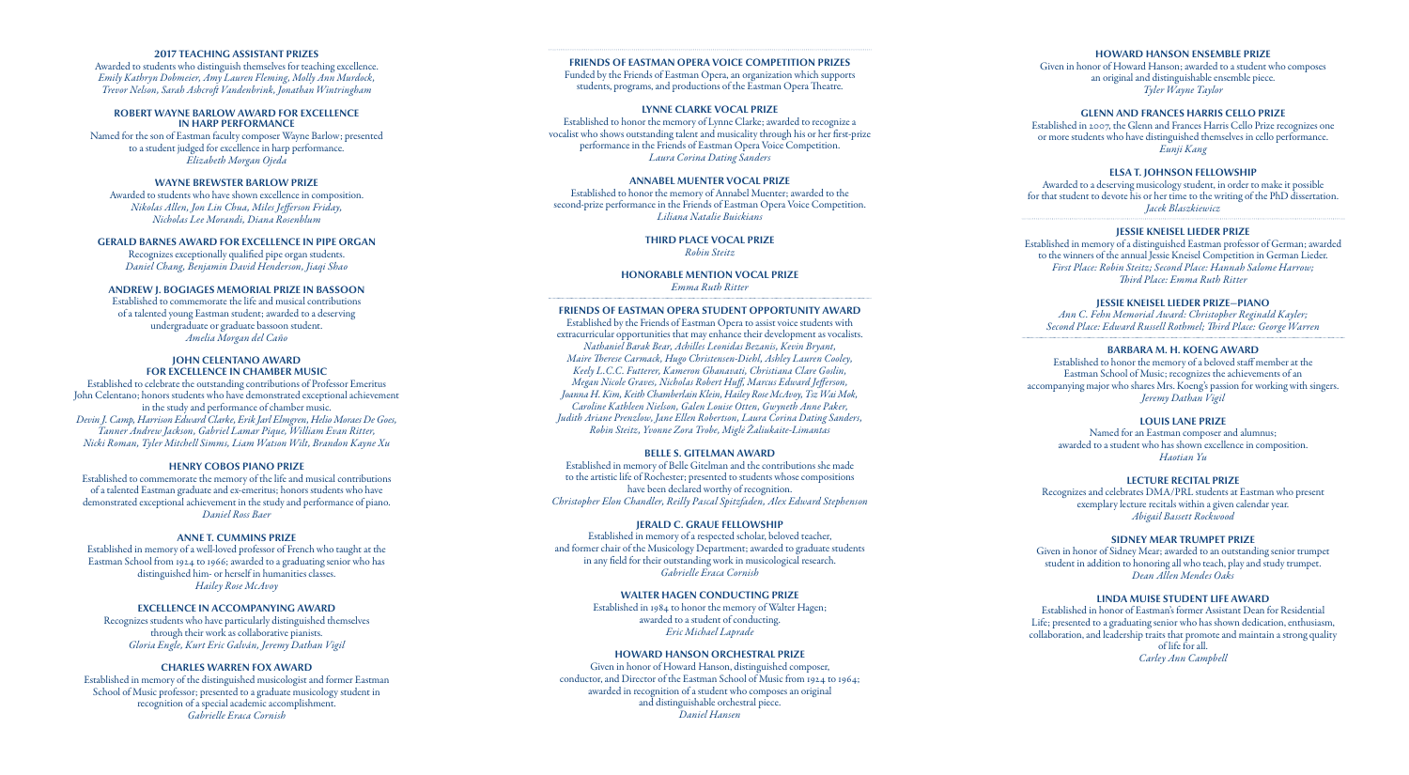## **2017 TEACHING ASSISTANT PRIZES**

Awarded to students who distinguish themselves for teaching excellence. *Emily Kathryn Dobmeier, Amy Lauren Fleming, Molly Ann Murdock, Trevor Nelson, Sarah Ashcroft Vandenbrink, Jonathan Wintringham*

#### **ROBERT WAYNE BARLOW AWARD FOR EXCELLENCE IN HARP PERFORMANCE**

Named for the son of Eastman faculty composer Wayne Barlow; presented to a student judged for excellence in harp performance. *Elizabeth Morgan Ojeda*

# **WAYNE BREWSTER BARLOW PRIZE**

Awarded to students who have shown excellence in composition. *Nikolas Allen, Jon Lin Chua, Miles Jefferson Friday, Nicholas Lee Morandi, Diana Rosenblum*

# **GERALD BARNES AWARD FOR EXCELLENCE IN PIPE ORGAN**

Recognizes exceptionally qualified pipe organ students. *Daniel Chang, Benjamin David Henderson, Jiaqi Shao*

#### **ANDREW J. BOGIAGES MEMORIAL PRIZE IN BASSOON**

Established to commemorate the life and musical contributions of a talented young Eastman student; awarded to a deserving undergraduate or graduate bassoon student. *Amelia Morgan del Caño*

#### **JOHN CELENTANO AWARD FOR EXCELLENCE IN CHAMBER MUSIC**

Established to celebrate the outstanding contributions of Professor Emeritus John Celentano; honors students who have demonstrated exceptional achievement in the study and performance of chamber music. *Devin J. Camp, Harrison Edward Clarke, Erik Jarl Elmgren, Helio Moraes De Goes, Tanner Andrew Jackson, Gabriel Lamar Pique, William Evan Ritter, Nicki Roman, Tyler Mitchell Simms, Liam Watson Wilt, Brandon Kayne Xu*

#### **HENRY COBOS PIANO PRIZE**

Established to commemorate the memory of the life and musical contributions of a talented Eastman graduate and ex-emeritus; honors students who have demonstrated exceptional achievement in the study and performance of piano. *Daniel Ross Baer*

## **ANNE T. CUMMINS PRIZE**

Established in memory of a well-loved professor of French who taught at the Eastman School from 1924 to 1966; awarded to a graduating senior who has distinguished him- or herself in humanities classes. *Hailey Rose McAvoy*

#### **EXCELLENCE IN ACCOMPANYING AWARD**

Recognizes students who have particularly distinguished themselves through their work as collaborative pianists. *Gloria Engle, Kurt Eric Galván, Jeremy Dathan Vigil*

#### **CHARLES WARREN FOX AWARD**

Established in memory of the distinguished musicologist and former Eastman School of Music professor; presented to a graduate musicology student in recognition of a special academic accomplishment. *Gabrielle Eraca Cornish*

#### **FRIENDS OF EASTMAN OPERA VOICE COMPETITION PRIZES**

Funded by the Friends of Eastman Opera, an organization which supports students, programs, and productions of the Eastman Opera Theatre.

## **LYNNE CLARKE VOCAL PRIZE**

Established to honor the memory of Lynne Clarke; awarded to recognize a vocalist who shows outstanding talent and musicality through his or her first-prize performance in the Friends of Eastman Opera Voice Competition. *Laura Corina Dating Sanders*

## **ANNABEL MUENTER VOCAL PRIZE**

Established to honor the memory of Annabel Muenter; awarded to the second-prize performance in the Friends of Eastman Opera Voice Competition. *Liliana Natalie Buickians*

> **THIRD PLACE VOCAL PRIZE** *Robin Steitz*

**HONORABLE MENTION VOCAL PRIZE** *Emma Ruth Ritter*

#### **FRIENDS OF EASTMAN OPERA STUDENT OPPORTUNITY AWARD**

Established by the Friends of Eastman Opera to assist voice students with extracurricular opportunities that may enhance their development as vocalists. *Nathaniel Barak Bear, Achilles Leonidas Bezanis, Kevin Bryant, Maire Therese Carmack, Hugo Christensen-Diehl, Ashley Lauren Cooley, Keely L.C.C. Futterer, Kameron Ghanavati, Christiana Clare Goslin, Megan Nicole Graves, Nicholas Robert Huff, Marcus Edward Jefferson, Joanna H. Kim, Keith Chamberlain Klein, Hailey Rose McAvoy, Tsz Wai Mok, Caroline Kathleen Nielson, Galen Louise Otten, Gwyneth Anne Paker, Judith Ariane Prenzlow, Jane Ellen Robertson, Laura Corina Dating Sanders, Robin Steitz, Yvonne Zora Trobe, Miglė Žaliukaite-Limantas*

#### **BELLE S. GITELMAN AWARD**

Established in memory of Belle Gitelman and the contributions she made to the artistic life of Rochester; presented to students whose compositions have been declared worthy of recognition. *Christopher Elon Chandler, Reilly Pascal Spitzfaden, Alex Edward Stephenson* 

## **JERALD C. GRAUE FELLOWSHIP**

Established in memory of a respected scholar, beloved teacher, and former chair of the Musicology Department; awarded to graduate students in any field for their outstanding work in musicological research. *Gabrielle Eraca Cornish*

### **WALTER HAGEN CONDUCTING PRIZE**

Established in 1984 to honor the memory of Walter Hagen; awarded to a student of conducting. *Eric Michael Laprade*

# **HOWARD HANSON ORCHESTRAL PRIZE**

Given in honor of Howard Hanson, distinguished composer, conductor, and Director of the Eastman School of Music from 1924 to 1964; awarded in recognition of a student who composes an original and distinguishable orchestral piece. *Daniel Hansen*

# **HOWARD HANSON ENSEMBLE PRIZE**

Given in honor of Howard Hanson; awarded to a student who composes an original and distinguishable ensemble piece. *Tyler Wayne Taylor* 

## **GLENN AND FRANCES HARRIS CELLO PRIZE**

Established in 2007, the Glenn and Frances Harris Cello Prize recognizes one or more students who have distinguished themselves in cello performance. *Eunji Kang*

# **ELSA T. JOHNSON FELLOWSHIP**

Awarded to a deserving musicology student, in order to make it possible for that student to devote his or her time to the writing of the PhD dissertation. *Jacek Blaszkiewicz*

# **JESSIE KNEISEL LIEDER PRIZE**

Established in memory of a distinguished Eastman professor of German; awarded to the winners of the annual Jessie Kneisel Competition in German Lieder. *First Place: Robin Steitz; Second Place: Hannah Salome Harrow; Third Place: Emma Ruth Ritter*

# **JESSIE KNEISEL LIEDER PRIZE—PIANO**

*Ann C. Fehn Memorial Award: Christopher Reginald Kayler; Second Place: Edward Russell Rothmel; Third Place: George Warren*

## **BARBARA M. H. KOENG AWARD**

Established to honor the memory of a beloved staff member at the Eastman School of Music; recognizes the achievements of an accompanying major who shares Mrs. Koeng's passion for working with singers. *Jeremy Dathan Vigil*

#### **LOUIS LANE PRIZE**

Named for an Eastman composer and alumnus; awarded to a student who has shown excellence in composition. *Haotian Yu*

## **LECTURE RECITAL PRIZE**

Recognizes and celebrates DMA/PRL students at Eastman who present exemplary lecture recitals within a given calendar year. *Abigail Bassett Rockwood*

# **SIDNEY MEAR TRUMPET PRIZE**

Given in honor of Sidney Mear; awarded to an outstanding senior trumpet student in addition to honoring all who teach, play and study trumpet. *Dean Allen Mendes Oaks*

## **LINDA MUISE STUDENT LIFE AWARD**

Established in honor of Eastman's former Assistant Dean for Residential Life; presented to a graduating senior who has shown dedication, enthusiasm, collaboration, and leadership traits that promote and maintain a strong quality of life for all. *Carley Ann Campbell*